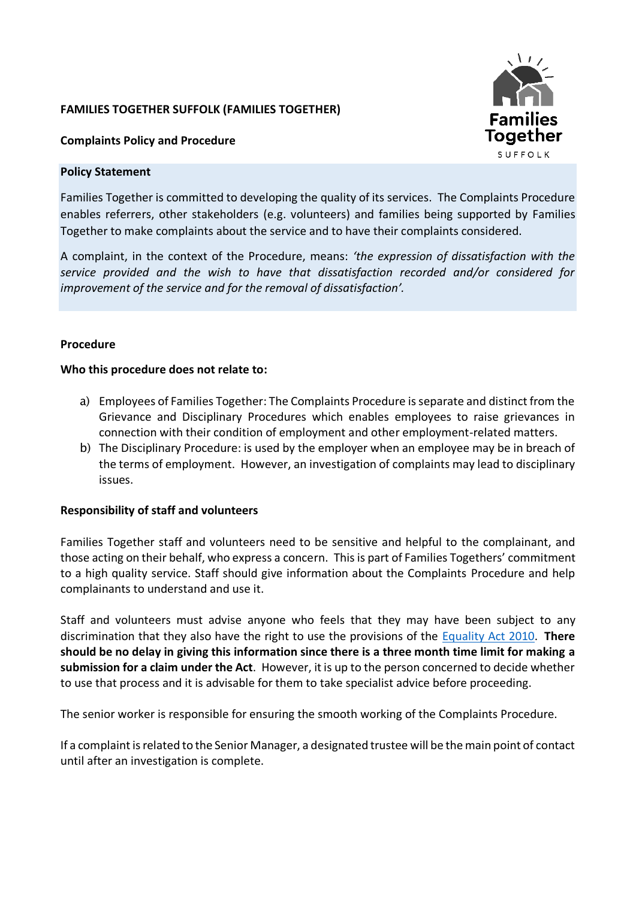### **FAMILIES TOGETHER SUFFOLK (FAMILIES TOGETHER)**



### **Complaints Policy and Procedure**

### **Policy Statement**

Families Together is committed to developing the quality of its services. The Complaints Procedure enables referrers, other stakeholders (e.g. volunteers) and families being supported by Families Together to make complaints about the service and to have their complaints considered.

A complaint, in the context of the Procedure, means: *'the expression of dissatisfaction with the service provided and the wish to have that dissatisfaction recorded and/or considered for improvement of the service and for the removal of dissatisfaction'.*

### **Procedure**

### **Who this procedure does not relate to:**

- a) Employees of Families Together: The Complaints Procedure is separate and distinct from the Grievance and Disciplinary Procedures which enables employees to raise grievances in connection with their condition of employment and other employment-related matters.
- b) The Disciplinary Procedure: is used by the employer when an employee may be in breach of the terms of employment. However, an investigation of complaints may lead to disciplinary issues.

### **Responsibility of staff and volunteers**

Families Together staff and volunteers need to be sensitive and helpful to the complainant, and those acting on their behalf, who express a concern. This is part of Families Togethers' commitment to a high quality service. Staff should give information about the Complaints Procedure and help complainants to understand and use it.

Staff and volunteers must advise anyone who feels that they may have been subject to any discrimination that they also have the right to use the provisions of the [Equality Act 2010.](https://www.equalityhumanrights.com/en) **There should be no delay in giving this information since there is a three month time limit for making a submission for a claim under the Act**. However, it is up to the person concerned to decide whether to use that process and it is advisable for them to take specialist advice before proceeding.

The senior worker is responsible for ensuring the smooth working of the Complaints Procedure.

If a complaint is related to the Senior Manager, a designated trustee will be the main point of contact until after an investigation is complete.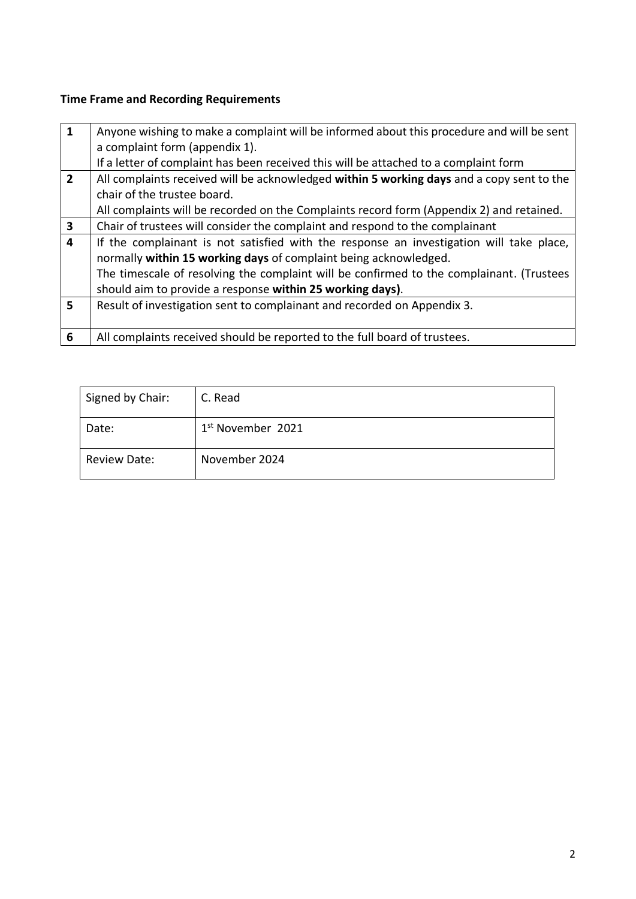# **Time Frame and Recording Requirements**

| 1              | Anyone wishing to make a complaint will be informed about this procedure and will be sent |  |  |
|----------------|-------------------------------------------------------------------------------------------|--|--|
|                | a complaint form (appendix 1).                                                            |  |  |
|                | If a letter of complaint has been received this will be attached to a complaint form      |  |  |
| $\overline{2}$ | All complaints received will be acknowledged within 5 working days and a copy sent to the |  |  |
|                | chair of the trustee board.                                                               |  |  |
|                | All complaints will be recorded on the Complaints record form (Appendix 2) and retained.  |  |  |
| 3              | Chair of trustees will consider the complaint and respond to the complainant              |  |  |
| 4              | If the complainant is not satisfied with the response an investigation will take place,   |  |  |
|                | normally within 15 working days of complaint being acknowledged.                          |  |  |
|                | The timescale of resolving the complaint will be confirmed to the complainant. (Trustees  |  |  |
|                | should aim to provide a response within 25 working days).                                 |  |  |
| 5              | Result of investigation sent to complainant and recorded on Appendix 3.                   |  |  |
|                |                                                                                           |  |  |
| 6              | All complaints received should be reported to the full board of trustees.                 |  |  |

| Signed by Chair:    | C. Read                       |
|---------------------|-------------------------------|
| Date:               | 1 <sup>st</sup> November 2021 |
| <b>Review Date:</b> | November 2024                 |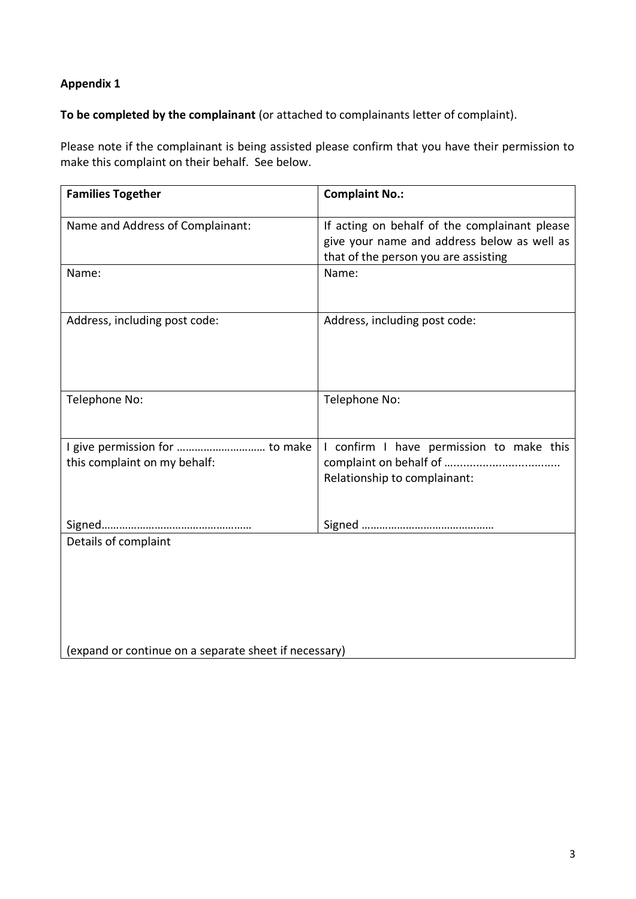# **Appendix 1**

**To be completed by the complainant** (or attached to complainants letter of complaint).

Please note if the complainant is being assisted please confirm that you have their permission to make this complaint on their behalf. See below.

| <b>Families Together</b>                                       | <b>Complaint No.:</b>                                                                                                                |  |
|----------------------------------------------------------------|--------------------------------------------------------------------------------------------------------------------------------------|--|
| Name and Address of Complainant:                               | If acting on behalf of the complainant please<br>give your name and address below as well as<br>that of the person you are assisting |  |
| Name:                                                          | Name:                                                                                                                                |  |
| Address, including post code:                                  | Address, including post code:                                                                                                        |  |
| Telephone No:                                                  | Telephone No:                                                                                                                        |  |
| I give permission for  to make<br>this complaint on my behalf: | I confirm I have permission to make this<br>Relationship to complainant:                                                             |  |
|                                                                |                                                                                                                                      |  |
| Details of complaint                                           |                                                                                                                                      |  |
| (expand or continue on a separate sheet if necessary)          |                                                                                                                                      |  |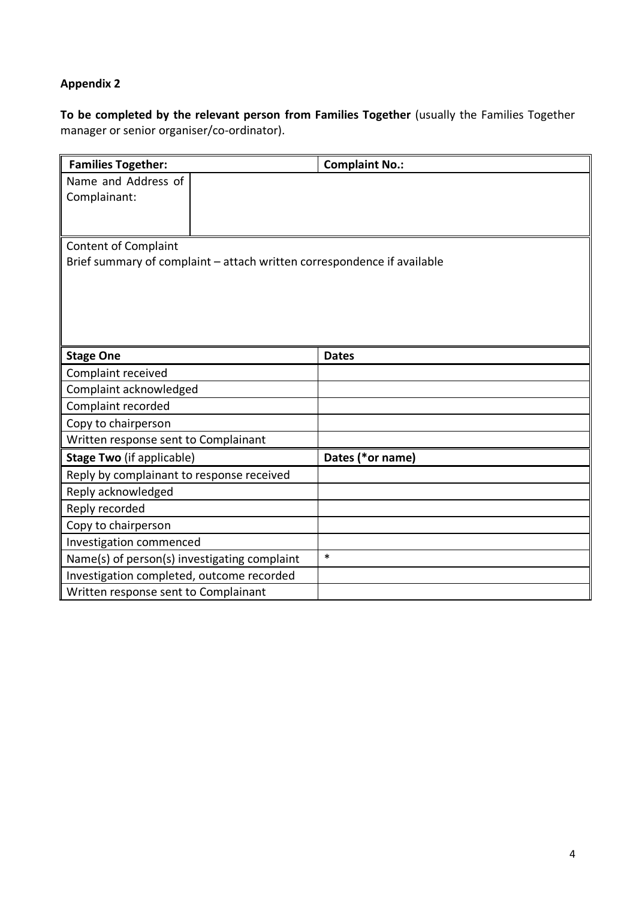# **Appendix 2**

**To be completed by the relevant person from Families Together** (usually the Families Together manager or senior organiser/co-ordinator).

| <b>Families Together:</b>                                               | <b>Complaint No.:</b> |  |  |  |
|-------------------------------------------------------------------------|-----------------------|--|--|--|
| Name and Address of                                                     |                       |  |  |  |
| Complainant:                                                            |                       |  |  |  |
|                                                                         |                       |  |  |  |
|                                                                         |                       |  |  |  |
| <b>Content of Complaint</b>                                             |                       |  |  |  |
| Brief summary of complaint - attach written correspondence if available |                       |  |  |  |
|                                                                         |                       |  |  |  |
|                                                                         |                       |  |  |  |
|                                                                         |                       |  |  |  |
|                                                                         |                       |  |  |  |
| <b>Stage One</b>                                                        | <b>Dates</b>          |  |  |  |
| Complaint received                                                      |                       |  |  |  |
| Complaint acknowledged                                                  |                       |  |  |  |
| Complaint recorded                                                      |                       |  |  |  |
| Copy to chairperson                                                     |                       |  |  |  |
| Written response sent to Complainant                                    |                       |  |  |  |
| <b>Stage Two (if applicable)</b>                                        | Dates (*or name)      |  |  |  |
| Reply by complainant to response received                               |                       |  |  |  |
| Reply acknowledged                                                      |                       |  |  |  |
| Reply recorded                                                          |                       |  |  |  |
| Copy to chairperson                                                     |                       |  |  |  |
| Investigation commenced                                                 |                       |  |  |  |
| Name(s) of person(s) investigating complaint                            | $\ast$                |  |  |  |
| Investigation completed, outcome recorded                               |                       |  |  |  |
| Written response sent to Complainant                                    |                       |  |  |  |